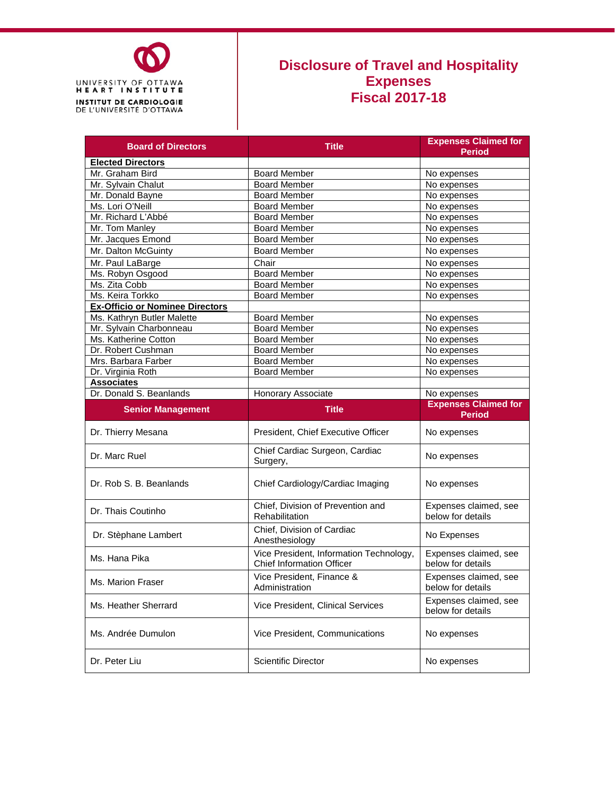

#### **Disclosure of Travel and Hospitality Expenses Fiscal 2017-18**

| <b>Board of Directors</b>              | <b>Title</b>                                                                | <b>Expenses Claimed for</b><br><b>Period</b> |  |
|----------------------------------------|-----------------------------------------------------------------------------|----------------------------------------------|--|
| <b>Elected Directors</b>               |                                                                             |                                              |  |
| Mr. Graham Bird                        | Board Member                                                                | No expenses                                  |  |
| Mr. Sylvain Chalut                     | <b>Board Member</b>                                                         | No expenses                                  |  |
| Mr. Donald Bayne                       | <b>Board Member</b>                                                         | No expenses                                  |  |
| Ms. Lori O'Neill                       | <b>Board Member</b>                                                         | No expenses                                  |  |
| Mr. Richard L'Abbé                     | <b>Board Member</b>                                                         | No expenses                                  |  |
| Mr. Tom Manley                         | <b>Board Member</b>                                                         | No expenses                                  |  |
| Mr. Jacques Emond                      | <b>Board Member</b>                                                         | No expenses                                  |  |
| Mr. Dalton McGuinty                    | <b>Board Member</b>                                                         | No expenses                                  |  |
| Mr. Paul LaBarge                       | Chair                                                                       | No expenses                                  |  |
| Ms. Robyn Osgood                       | <b>Board Member</b>                                                         | No expenses                                  |  |
| Ms. Zita Cobb                          | <b>Board Member</b>                                                         | No expenses                                  |  |
| Ms. Keira Torkko                       | <b>Board Member</b>                                                         | No expenses                                  |  |
| <b>Ex-Officio or Nominee Directors</b> |                                                                             |                                              |  |
| Ms. Kathryn Butler Malette             | <b>Board Member</b>                                                         | No expenses                                  |  |
| Mr. Sylvain Charbonneau                | <b>Board Member</b>                                                         | No expenses                                  |  |
| Ms. Katherine Cotton                   | <b>Board Member</b>                                                         | No expenses                                  |  |
| Dr. Robert Cushman                     | <b>Board Member</b>                                                         | No expenses                                  |  |
| Mrs. Barbara Farber                    | <b>Board Member</b>                                                         | No expenses                                  |  |
| Dr. Virginia Roth                      | <b>Board Member</b>                                                         | No expenses                                  |  |
| <b>Associates</b>                      |                                                                             |                                              |  |
| Dr. Donald S. Beanlands                | Honorary Associate                                                          | No expenses                                  |  |
|                                        |                                                                             |                                              |  |
|                                        | <b>Title</b>                                                                | <b>Expenses Claimed for</b>                  |  |
| <b>Senior Management</b>               |                                                                             | <b>Period</b>                                |  |
| Dr. Thierry Mesana                     | President, Chief Executive Officer                                          | No expenses                                  |  |
| Dr. Marc Ruel                          | Chief Cardiac Surgeon, Cardiac<br>Surgery,                                  | No expenses                                  |  |
| Dr. Rob S. B. Beanlands                | Chief Cardiology/Cardiac Imaging                                            | No expenses                                  |  |
| Dr. Thais Coutinho                     | Chief, Division of Prevention and<br>Rehabilitation                         | Expenses claimed, see<br>below for details   |  |
| Dr. Stèphane Lambert                   | Chief, Division of Cardiac<br>Anesthesiology                                | No Expenses                                  |  |
| Ms. Hana Pika                          | Vice President, Information Technology,<br><b>Chief Information Officer</b> | Expenses claimed, see<br>below for details   |  |
| Ms. Marion Fraser                      | Vice President, Finance &<br>Administration                                 | Expenses claimed, see<br>below for details   |  |
| Ms. Heather Sherrard                   | Vice President, Clinical Services                                           | Expenses claimed, see<br>below for details   |  |
| Ms. Andrée Dumulon                     | Vice President, Communications                                              | No expenses                                  |  |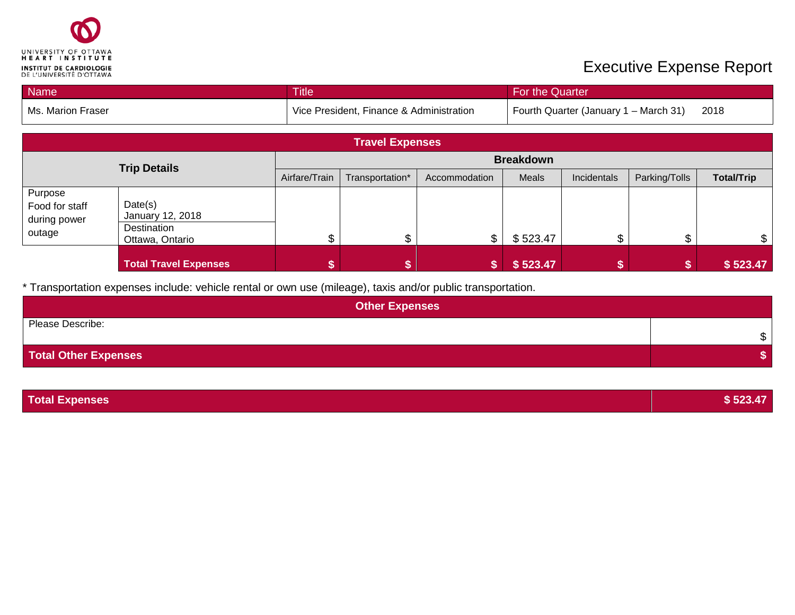

| Name              | <b>Title</b>                             | For the Quarter                               |
|-------------------|------------------------------------------|-----------------------------------------------|
| Ms. Marion Fraser | Vice President, Finance & Administration | Fourth Quarter (January 1 – March 31)<br>2018 |

| <b>Travel Expenses</b>                              |                                                               |                  |                 |               |          |             |               |                   |
|-----------------------------------------------------|---------------------------------------------------------------|------------------|-----------------|---------------|----------|-------------|---------------|-------------------|
| <b>Trip Details</b>                                 |                                                               | <b>Breakdown</b> |                 |               |          |             |               |                   |
|                                                     |                                                               | Airfare/Train    | Transportation* | Accommodation | Meals    | Incidentals | Parking/Tolls | <b>Total/Trip</b> |
| Purpose<br>Food for staff<br>during power<br>outage | Date(s)<br>January 12, 2018<br>Destination<br>Ottawa, Ontario |                  | \$              |               | \$523.47 | ה.          | ጥ             | \$                |
|                                                     | <b>Total Travel Expenses</b>                                  |                  |                 |               | \$523.47 |             |               | \$523.47          |

| <b>Other Expenses</b>       |    |  |  |  |
|-----------------------------|----|--|--|--|
| Please Describe:            | \$ |  |  |  |
| <b>Total Other Expenses</b> |    |  |  |  |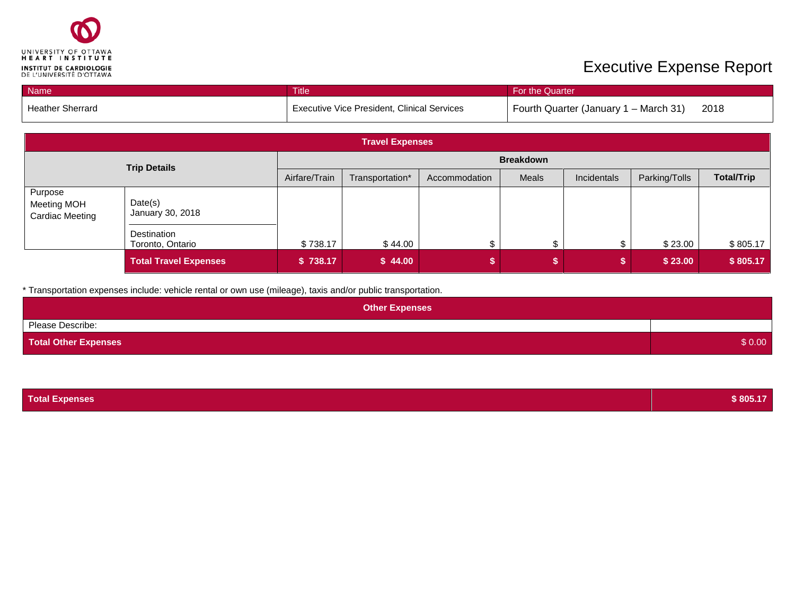

| <b>Name</b>             | <b>Title</b>                                | <b>For the Quarter</b>                        |
|-------------------------|---------------------------------------------|-----------------------------------------------|
| <b>Heather Sherrard</b> | Executive Vice President, Clinical Services | 2018<br>Fourth Quarter (January 1 – March 31) |

| <b>Travel Expenses</b>                           |                                 |                                                                                            |                  |  |                   |  |         |          |
|--------------------------------------------------|---------------------------------|--------------------------------------------------------------------------------------------|------------------|--|-------------------|--|---------|----------|
| <b>Trip Details</b>                              |                                 |                                                                                            | <b>Breakdown</b> |  |                   |  |         |          |
|                                                  |                                 | Airfare/Train<br>Parking/Tolls<br>Meals<br>Incidentals<br>Transportation*<br>Accommodation |                  |  | <b>Total/Trip</b> |  |         |          |
| Purpose<br>Meeting MOH<br><b>Cardiac Meeting</b> | Date(s)<br>January 30, 2018     |                                                                                            |                  |  |                   |  |         |          |
|                                                  | Destination<br>Toronto, Ontario | \$738.17                                                                                   | \$44.00          |  | æ                 |  | \$23.00 | \$805.17 |
|                                                  | <b>Total Travel Expenses</b>    | \$738.17                                                                                   | \$44.00          |  |                   |  | \$23.00 | \$805.17 |

| <b>Other Expenses</b>       |        |
|-----------------------------|--------|
| Please Describe:            |        |
| <b>Total Other Expenses</b> | \$0.00 |

| <b>Total Expenses</b> | \$805.17 |
|-----------------------|----------|
|-----------------------|----------|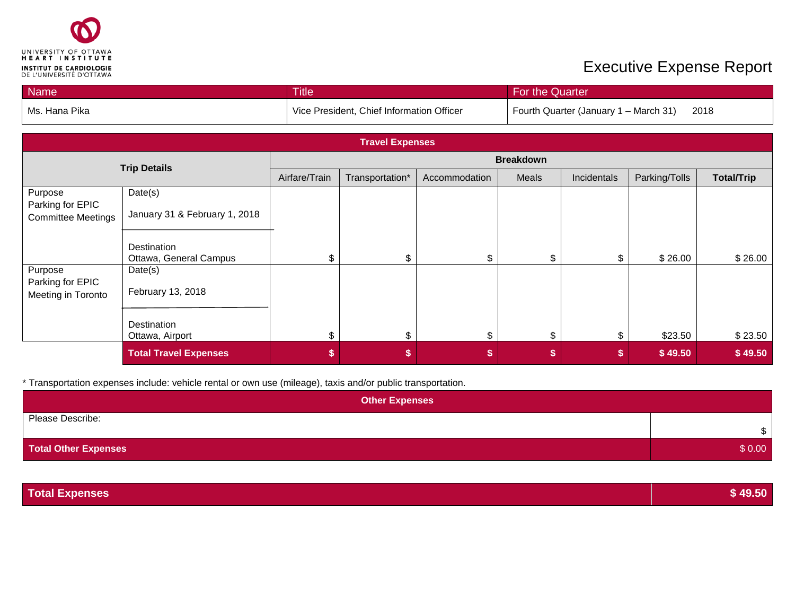

| <b>Name</b>   | <b>Title</b>                              | For the Quarter                               |  |  |
|---------------|-------------------------------------------|-----------------------------------------------|--|--|
| Ms. Hana Pika | Vice President, Chief Information Officer | 2018<br>Fourth Quarter (January 1 – March 31) |  |  |

| <b>Travel Expenses</b>                            |                                       |                  |                 |               |       |             |               |                   |
|---------------------------------------------------|---------------------------------------|------------------|-----------------|---------------|-------|-------------|---------------|-------------------|
| <b>Trip Details</b>                               |                                       | <b>Breakdown</b> |                 |               |       |             |               |                   |
|                                                   |                                       | Airfare/Train    | Transportation* | Accommodation | Meals | Incidentals | Parking/Tolls | <b>Total/Trip</b> |
| Purpose                                           | Date(s)                               |                  |                 |               |       |             |               |                   |
| Parking for EPIC<br><b>Committee Meetings</b>     | January 31 & February 1, 2018         |                  |                 |               |       |             |               |                   |
|                                                   | Destination<br>Ottawa, General Campus | \$.              | \$              | \$            | \$    |             | \$26.00       | \$26.00           |
| Purpose<br>Parking for EPIC<br>Meeting in Toronto | Date(s)<br>February 13, 2018          |                  |                 |               |       |             |               |                   |
|                                                   | Destination<br>Ottawa, Airport        | \$               | \$              | \$            | \$    | \$          | \$23.50       | \$23.50           |
|                                                   | <b>Total Travel Expenses</b>          | \$               | \$              | \$            | \$    | S           | \$49.50       | \$49.50           |

| <b>Other Expenses</b>       |        |
|-----------------------------|--------|
| Please Describe:            |        |
| <b>Total Other Expenses</b> | \$0.00 |

| <b>Total Expenses</b> | \$49.50 |
|-----------------------|---------|
|                       |         |